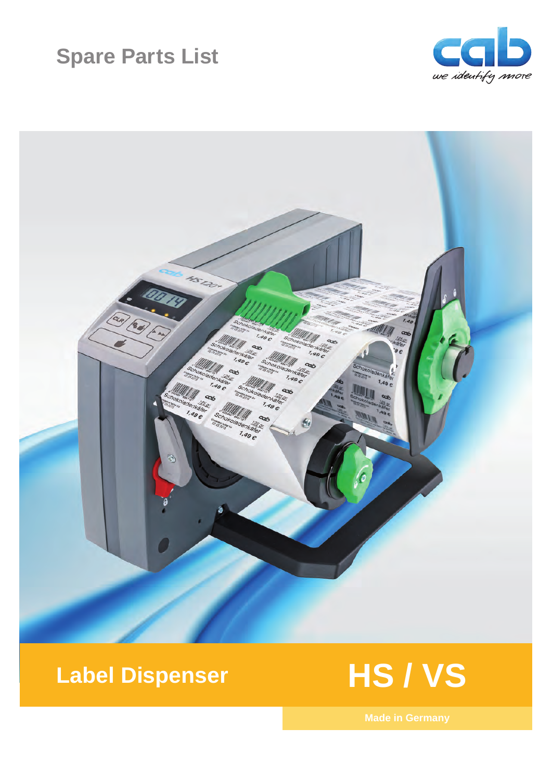# **Spare Parts List**





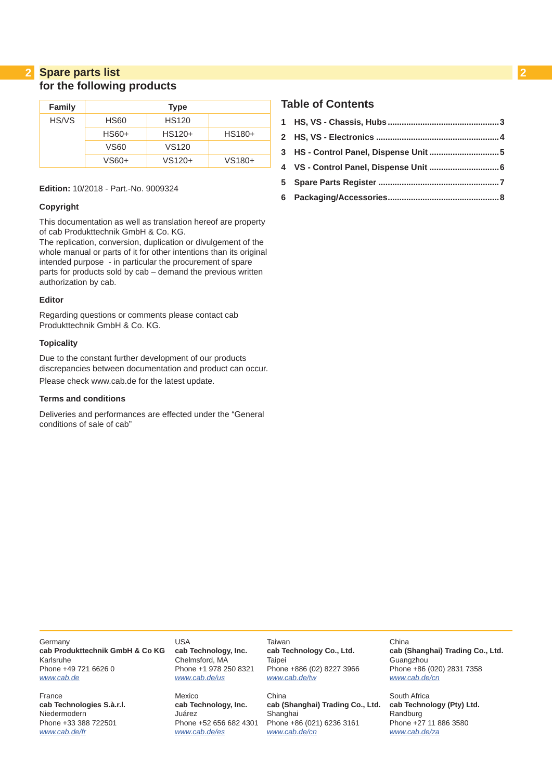### **2 2 Spare parts list for the following products**

| <b>Family</b> | <b>Type</b> |                   |        |  |  |  |  |  |  |  |  |  |  |
|---------------|-------------|-------------------|--------|--|--|--|--|--|--|--|--|--|--|
| HS/VS         | <b>HS60</b> | <b>HS120</b>      |        |  |  |  |  |  |  |  |  |  |  |
|               | $HS60+$     | $HS120+$          | HS180+ |  |  |  |  |  |  |  |  |  |  |
|               | VS60        | VS <sub>120</sub> |        |  |  |  |  |  |  |  |  |  |  |
|               | VS60+       | VS120+            | VS180+ |  |  |  |  |  |  |  |  |  |  |

#### **Edition:** 10/2018 - Part.-No. 9009324

#### **Copyright**

This documentation as well as translation hereof are property of cab Produkttechnik GmbH & Co. KG.

The replication, conversion, duplication or divulgement of the whole manual or parts of it for other intentions than its original intended purpose - in particular the procurement of spare parts for products sold by cab – demand the previous written authorization by cab.

#### **Editor**

Regarding questions or comments please contact cab Produkttechnik GmbH & Co. KG.

#### **Topicality**

Due to the constant further development of our products discrepancies between documentation and product can occur. Please check www.cab.de for the latest update.

#### **Terms and conditions**

Deliveries and performances are effected under the "General conditions of sale of cab"

#### **Table of Contents**

| 3 HS - Control Panel, Dispense Unit 5 |  |
|---------------------------------------|--|
|                                       |  |
|                                       |  |
|                                       |  |

Germany **cab Produkttechnik GmbH & Co KG** Karlsruhe Phone +49 721 6626 0 *[www.cab.de](http://www.cab.de)*

France **cab Technologies S.à.r.l.** Niedermodern Phone +33 388 722501 *[www.cab.de/fr](http://www.cab.de/fr)*

USA **cab Technology, Inc.** Chelmsford, MA Phone +1 978 250 8321 *[www.cab.de/us](http://www.cab.de/us)*

Mexico **cab Technology, Inc.** Juárez Phone +52 656 682 4301 *[www.cab.de/es](http://www.cab.de/es)*

Taiwan **cab Technology Co., Ltd.** Taipei Phone +886 (02) 8227 3966 *[www.cab.de/tw](http://www.cab.de/tw)*

China **cab (Shanghai) Trading Co., Ltd.** Shanghai Phone +86 (021) 6236 3161 *[www.cab.de/cn](http://www.cab.de/cn)*

China **cab (Shanghai) Trading Co., Ltd.** Guangzhou Phone +86 (020) 2831 7358 *[www.cab.de/cn](http://www.cab.de/cn)*

South Africa **cab Technology (Pty) Ltd.** Randburg Phone +27 11 886 3580 *[www.cab.de/za](http://www.cab.de/za)*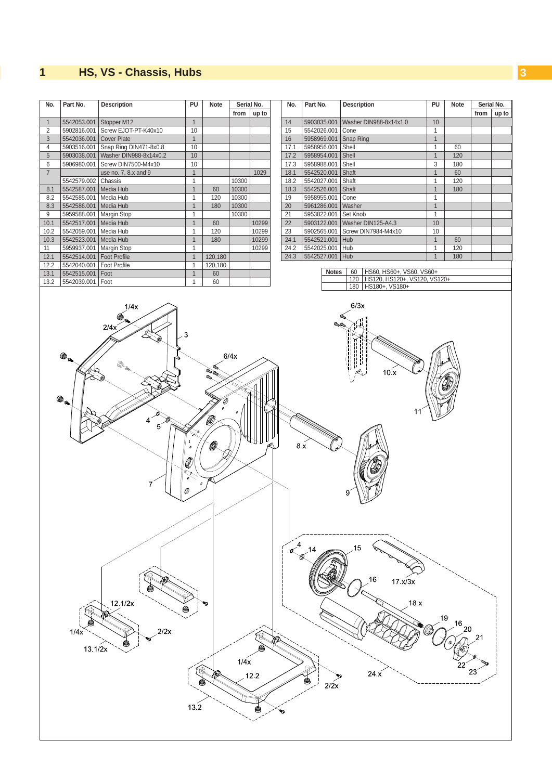#### <span id="page-2-0"></span>**2 1 HS, VS - Chassis, Hubs 3**

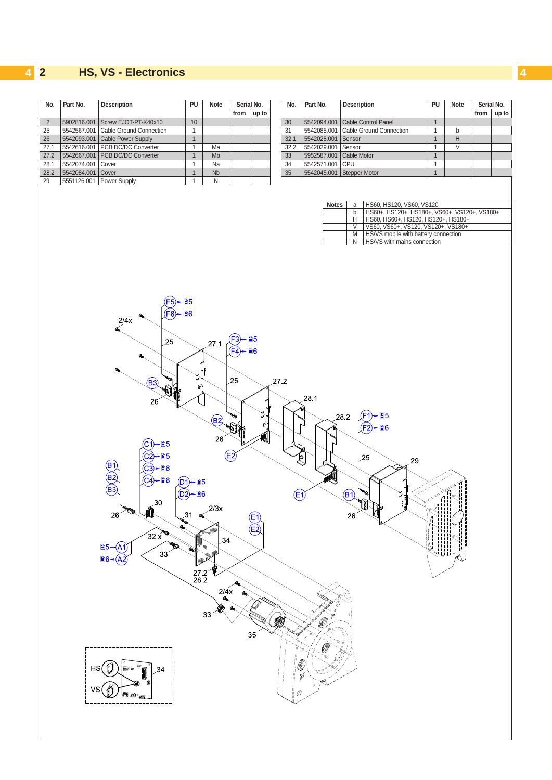### <span id="page-3-0"></span>**4 4 2 HS, VS - Electronics**

| No.            | Part No.          | Description                                                                                                                                                                                                                                     | PU                                                                                            | <b>Note</b>                                                 | from              | Serial No.<br>up to                                                                              | No.       | Part No.               |                        | Description                                                                                                                                                                                                                                                                                                                                                  | PU             | <b>Note</b> | Serial No.<br>from | up to |
|----------------|-------------------|-------------------------------------------------------------------------------------------------------------------------------------------------------------------------------------------------------------------------------------------------|-----------------------------------------------------------------------------------------------|-------------------------------------------------------------|-------------------|--------------------------------------------------------------------------------------------------|-----------|------------------------|------------------------|--------------------------------------------------------------------------------------------------------------------------------------------------------------------------------------------------------------------------------------------------------------------------------------------------------------------------------------------------------------|----------------|-------------|--------------------|-------|
| $\overline{2}$ |                   | 5902816.001 Screw EJOT-PT-K40x10                                                                                                                                                                                                                | 10                                                                                            |                                                             |                   |                                                                                                  | 30        |                        | 5542094.001            | Cable Control Panel                                                                                                                                                                                                                                                                                                                                          | $\overline{1}$ |             |                    |       |
| 25             |                   | 5542567.001 Cable Ground Connection                                                                                                                                                                                                             | $\mathbf{1}$                                                                                  |                                                             |                   |                                                                                                  | 31        |                        | 5542085.001            | Cable Ground Connection                                                                                                                                                                                                                                                                                                                                      | $\mathbf{1}$   | b           |                    |       |
| 26             |                   | 5542093.001 Cable Power Supply                                                                                                                                                                                                                  | $\mathbf{1}$                                                                                  |                                                             |                   |                                                                                                  | 32.1      |                        | 5542028.001            | Sensor                                                                                                                                                                                                                                                                                                                                                       | $\mathbf{1}$   | Н           |                    |       |
| 27.1           |                   | 5542616.001 PCB DC/DC Converter                                                                                                                                                                                                                 | $\mathbf{1}$                                                                                  | Ma                                                          |                   |                                                                                                  | 32.2      |                        | 5542029.001 Sensor     |                                                                                                                                                                                                                                                                                                                                                              | $\mathbf{1}$   | $\vee$      |                    |       |
| 27.2           |                   | 5542667.001 PCB DC/DC Converter                                                                                                                                                                                                                 | $\mathbf{1}$                                                                                  | $\mathsf{Mb}$                                               |                   |                                                                                                  | 33        |                        |                        | 5952587.001 Cable Motor                                                                                                                                                                                                                                                                                                                                      | $\mathbf{1}$   |             |                    |       |
| 28.1           | 5542074.001 Cover |                                                                                                                                                                                                                                                 | $\mathbf{1}$                                                                                  | Na                                                          |                   |                                                                                                  | 34        |                        | 5542571.001 CPU        |                                                                                                                                                                                                                                                                                                                                                              | $\mathbf{1}$   |             |                    |       |
| 28.2           | 5542084.001 Cover |                                                                                                                                                                                                                                                 | $\mathbf{1}$                                                                                  | Nb                                                          |                   |                                                                                                  | 35        |                        |                        | 5542045.001 Stepper Motor                                                                                                                                                                                                                                                                                                                                    | $\mathbf{1}$   |             |                    |       |
|                |                   |                                                                                                                                                                                                                                                 | $\mathbf{1}$                                                                                  |                                                             |                   |                                                                                                  |           |                        |                        |                                                                                                                                                                                                                                                                                                                                                              |                |             |                    |       |
| 29             | НS<br>vs          | 5551126.001 Power Supply<br>F5<br>(F6)<br>2/4x<br>25<br>(B3)<br>26<br>§5<br>≣5<br>B1<br>- ∎6<br>C3<br>$\overline{(\overline{B2})}$<br>C4<br>- ≣6<br>$\overline{\mathbf{M}}^{30}$<br>$26^{\circ}$<br>32x<br><b>■5 - (A1</b><br>33<br>$B_6$<br>34 | ≣5<br><b>■6</b><br>⋧<br>$\mathbf{r}$<br>$(D1)$ = $B5$<br>$(D2)$ = $B$ 6<br>31<br>27 2<br>28 2 | ${\sf N}$<br>27.1<br>(B2)<br>26<br>2/3x<br>34<br>2/4x<br>33 | (F4<br>25<br>(E2) | §5<br>■6<br>♪<br>$\mathbf{r}$<br>0<br>$\begin{matrix} \boxed{E} \ \boxed{E2} \end{matrix}$<br>35 | 27.2<br>W | 28.1<br>Q<br>(E1)<br>Z | <b>Notes</b><br>4<br>€ | HS60, HS120, VS60, VS120<br>a<br>HS60+, HS120+, HS180+, VS60+, VS120+, VS180+<br>b<br>HS60, HS60+, HS120, HS120+, HS180+<br>Н<br>VS60, VS60+, VS120, VS120+, VS180+<br>$\vee$<br>HS/VS mobile with battery connection<br>M<br>HS/VS with mains connection<br>N<br><b>■5</b><br>28.2<br>F1<br><b>■6</b><br>(F2<br>25<br>29<br>(B)<br>÷<br>زمان من<br>I.<br>26 |                |             |                    |       |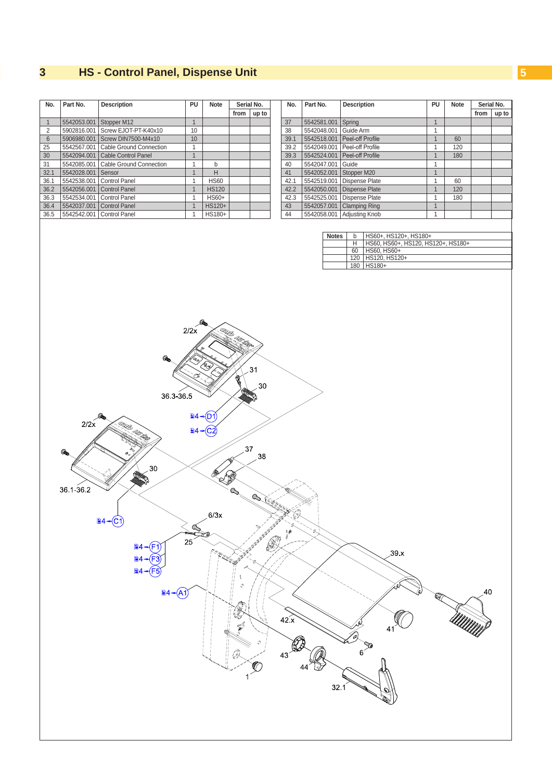#### <span id="page-4-0"></span>**4 3 HS - Control Panel, Dispense Unit 5**

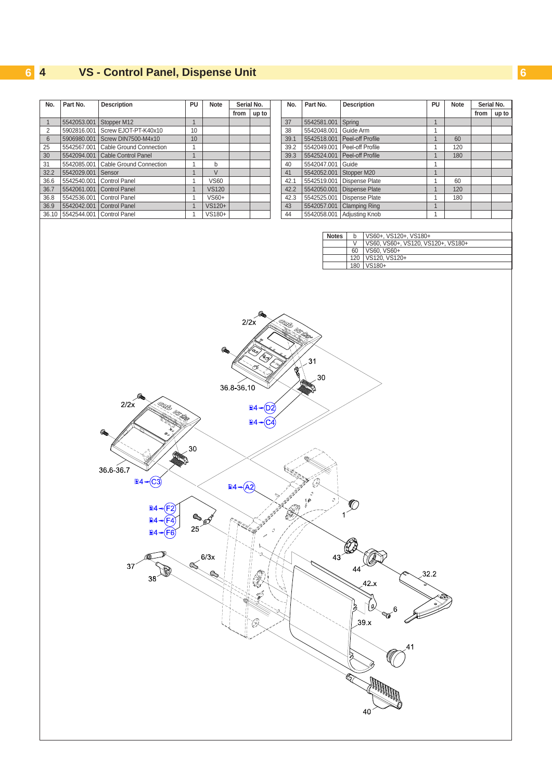## <span id="page-5-0"></span>**6 4 VS - Control Panel, Dispense Unit 6**

I

| No.            | Part No.                  | <b>Description</b>                                                                                                                                                                                                                                                                                                                                                                                                                                                                                                                                                                | PU                           | Note                 | from                                                          | Serial No.<br>up to                                                                                                                                                                                                                                                                                                  | No.                                                                                                                                                                                                                                                               | Part No.                                                                                          | <b>Description</b>                                                                                                                                                                                      | PU                           | <b>Note</b> | from | Serial No.<br>up to |
|----------------|---------------------------|-----------------------------------------------------------------------------------------------------------------------------------------------------------------------------------------------------------------------------------------------------------------------------------------------------------------------------------------------------------------------------------------------------------------------------------------------------------------------------------------------------------------------------------------------------------------------------------|------------------------------|----------------------|---------------------------------------------------------------|----------------------------------------------------------------------------------------------------------------------------------------------------------------------------------------------------------------------------------------------------------------------------------------------------------------------|-------------------------------------------------------------------------------------------------------------------------------------------------------------------------------------------------------------------------------------------------------------------|---------------------------------------------------------------------------------------------------|---------------------------------------------------------------------------------------------------------------------------------------------------------------------------------------------------------|------------------------------|-------------|------|---------------------|
| $\mathbf{1}$   | 5542053.001 Stopper M12   |                                                                                                                                                                                                                                                                                                                                                                                                                                                                                                                                                                                   | $\overline{1}$               |                      |                                                               |                                                                                                                                                                                                                                                                                                                      | $37\,$                                                                                                                                                                                                                                                            | 5542581.001                                                                                       | Spring                                                                                                                                                                                                  | $\mathbf{1}$                 |             |      |                     |
| $\overline{2}$ |                           | 5902816.001   Screw EJOT-PT-K40x10                                                                                                                                                                                                                                                                                                                                                                                                                                                                                                                                                | 10                           |                      |                                                               |                                                                                                                                                                                                                                                                                                                      | 38                                                                                                                                                                                                                                                                | 5542048.001                                                                                       | Guide Arm                                                                                                                                                                                               | $\mathbf{1}$                 |             |      |                     |
| $\,6\,$        | 5906980.001               | Screw DIN7500-M4x10                                                                                                                                                                                                                                                                                                                                                                                                                                                                                                                                                               | 10                           |                      |                                                               |                                                                                                                                                                                                                                                                                                                      | 39.1                                                                                                                                                                                                                                                              | 5542518.001                                                                                       | Peel-off Profile                                                                                                                                                                                        |                              | 60          |      |                     |
| 25             | 5542567.001               | Cable Ground Connection                                                                                                                                                                                                                                                                                                                                                                                                                                                                                                                                                           | $\mathbf{1}$                 |                      |                                                               |                                                                                                                                                                                                                                                                                                                      | 39.2                                                                                                                                                                                                                                                              | 5542049.001                                                                                       | Peel-off Profile                                                                                                                                                                                        | $\mathbf{1}$<br>$\mathbf{1}$ | 120         |      |                     |
| 30             | 5542094.001               | Cable Control Panel                                                                                                                                                                                                                                                                                                                                                                                                                                                                                                                                                               | $\mathbf{1}$                 |                      |                                                               |                                                                                                                                                                                                                                                                                                                      | 39.3                                                                                                                                                                                                                                                              |                                                                                                   | 5542524.001 Peel-off Profile                                                                                                                                                                            | $\mathbf{1}$                 | 180         |      |                     |
| 31             | 5542085.001               | Cable Ground Connection                                                                                                                                                                                                                                                                                                                                                                                                                                                                                                                                                           | $\mathbf{1}$                 | b                    |                                                               |                                                                                                                                                                                                                                                                                                                      | 40                                                                                                                                                                                                                                                                | 5542047.001                                                                                       | Guide                                                                                                                                                                                                   | $\mathbf{1}$                 |             |      |                     |
| 32.2           | 5542029.001               | Sensor                                                                                                                                                                                                                                                                                                                                                                                                                                                                                                                                                                            | $\mathbf{1}$                 | $\vee$               |                                                               |                                                                                                                                                                                                                                                                                                                      | 41                                                                                                                                                                                                                                                                | 5542052.001                                                                                       | Stopper M20                                                                                                                                                                                             | $\mathbf{1}$                 |             |      |                     |
| 36.6           | 5542540.001               | Control Panel                                                                                                                                                                                                                                                                                                                                                                                                                                                                                                                                                                     | $\mathbf{1}$                 | <b>VS60</b>          |                                                               |                                                                                                                                                                                                                                                                                                                      | 42.1                                                                                                                                                                                                                                                              | 5542519.001                                                                                       | Dispense Plate                                                                                                                                                                                          | $\mathbf{1}$                 | 60          |      |                     |
| 36.7           | 5542061.001 Control Panel |                                                                                                                                                                                                                                                                                                                                                                                                                                                                                                                                                                                   | $\mathbf{1}$                 | <b>VS120</b>         |                                                               |                                                                                                                                                                                                                                                                                                                      | 42.2                                                                                                                                                                                                                                                              |                                                                                                   | 5542050.001 Dispense Plate                                                                                                                                                                              | $\mathbf{1}$                 | 120         |      |                     |
|                |                           |                                                                                                                                                                                                                                                                                                                                                                                                                                                                                                                                                                                   | $\mathbf{1}$                 |                      |                                                               |                                                                                                                                                                                                                                                                                                                      |                                                                                                                                                                                                                                                                   |                                                                                                   | 5542525.001 Dispense Plate                                                                                                                                                                              | $\mathbf{1}$                 |             |      |                     |
| 36.8           | 5542536.001 Control Panel |                                                                                                                                                                                                                                                                                                                                                                                                                                                                                                                                                                                   |                              | $VS60+$              |                                                               |                                                                                                                                                                                                                                                                                                                      | 42.3                                                                                                                                                                                                                                                              |                                                                                                   |                                                                                                                                                                                                         |                              | 180         |      |                     |
| 36.9           | 36.10 5542544.001         | 5542042.001 Control Panel<br>Control Panel                                                                                                                                                                                                                                                                                                                                                                                                                                                                                                                                        | $\mathbf{1}$<br>$\mathbf{1}$ | VS120+<br>VS180+     |                                                               |                                                                                                                                                                                                                                                                                                                      | $43\,$<br>44                                                                                                                                                                                                                                                      | 5542057.001                                                                                       | <b>Clamping Ring</b><br>5542058.001 Adjusting Knob                                                                                                                                                      | $\mathbf{1}$<br>$\mathbf{1}$ |             |      |                     |
|                |                           | 2/2x<br>:<br>E<br>36.6-36.7<br>$\left( C3\right)$<br>$\triangleq$ + $\triangleq$ $\triangleq$ $\triangleq$ $\triangleq$ $\triangleq$ $\triangleq$ $\triangleq$ $\triangleq$ $\triangleq$ $\triangleq$ $\triangleq$ $\triangleq$ $\triangleq$ $\triangleq$ $\triangleq$ $\triangleq$ $\triangleq$ $\triangleq$ $\triangleq$ $\triangleq$ $\triangleq$ $\triangleq$ $\triangleq$ $\triangleq$ $\triangleq$ $\triangleq$ $\triangleq$ $\triangleq$ $\triangleq$ $\triangleq$ $\triangleq$ $\triangleq$ $\triangleq$ $\triangleq$ $\triangleq$ $\$<br>§4<br>$\mathbb{B}4$<br>37<br>38 | 30<br>$25^{\circ}$<br>Geo    | Comport<br>6/3x<br>Q | 2/2x<br>36 8-36 10<br><b>■4 <math>\rightarrow</math> (A2)</b> | (D2<br>e di filmoj<br>Septimoj di Santo Barco di Santo Barco di Santo Barco di Santo Barco di Santo Barco di Santo Barco di Santo B<br>Santo Barco di Santo Barco di Santo Barco di Santo Barco di Santo Barco di Santo Barco di Santo Barc<br>$\mathcal{O}$<br>e.<br>E<br>ון<br>וו<br>$\hat{\mathscr{E}}$<br>Ś<br>Ø | <b>CONSTRACTOR</b><br>and the same of the same of the same of the same of the same of the same of the same of the same of the same o<br>Same of the same of the same of the same of the same of the same of the same of the same of the same of the sam<br>.<br>D | <b>Notes</b><br>31<br>30<br>$\mathcal{O}$<br>$^{\prime\prime\prime}_\circ$<br>$\mathcal{C}$<br>43 | VS60+, VS120+, VS180+<br>b<br>VS60, VS60+, VS120, VS120+, VS180+<br>V<br>60<br>VS60, VS60+<br>120 VS120, VS120+<br>180   VS180+<br>$\bigcirc$<br>1<br>44<br>42x<br>Q.<br>6<br>$39 \times$<br>Allp<br>40 | 32.2                         |             |      |                     |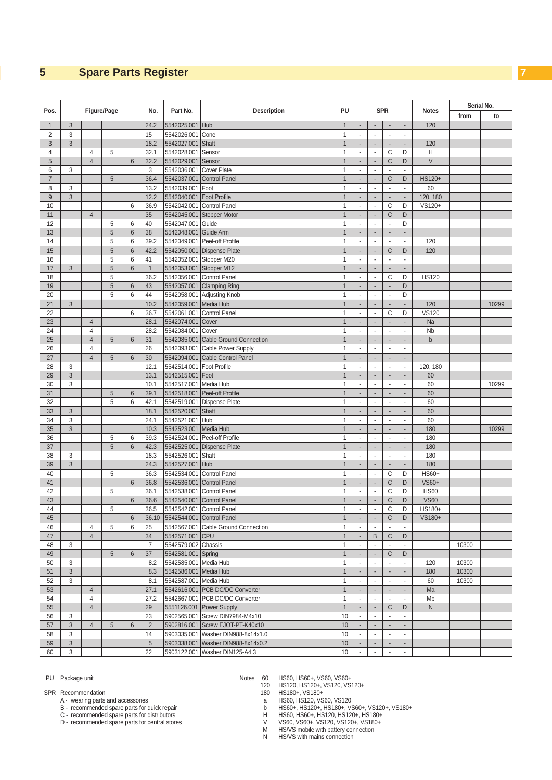### <span id="page-6-1"></span><span id="page-6-0"></span>**5 Spare Parts Register 7**

|                |                |                                  |                |                     |                 |                            |                                     |                              |                                                      |                                |                               |                                |                            | Serial No. |       |
|----------------|----------------|----------------------------------|----------------|---------------------|-----------------|----------------------------|-------------------------------------|------------------------------|------------------------------------------------------|--------------------------------|-------------------------------|--------------------------------|----------------------------|------------|-------|
| Pos.           |                |                                  | Figure/Page    |                     | No.             | Part No.                   | <b>Description</b>                  | PU                           |                                                      | <b>SPR</b>                     |                               |                                | <b>Notes</b>               | from       | to    |
| $\mathbf{1}$   | 3              |                                  |                |                     | 24.2            | 5542025.001                | <b>Hub</b>                          | $\mathbf{1}$                 | $\overline{\phantom{a}}$                             |                                | ÷,                            | $\overline{\phantom{a}}$       | 120                        |            |       |
| $\overline{2}$ | 3              |                                  |                |                     | 15              | 5542026.001                | Cone                                | $\mathbf{1}$                 | $\blacksquare$                                       | $\overline{\phantom{a}}$       | $\blacksquare$                | $\blacksquare$                 |                            |            |       |
| 3              | $\mathfrak{Z}$ |                                  |                |                     | 18.2            | 5542027.001                | Shaft                               | $\mathbf{1}$                 |                                                      | ÷,                             | $\overline{\phantom{a}}$      |                                | 120                        |            |       |
| 4              |                | 4                                | 5              |                     | 32.1            | 5542028.001                | Sensor                              | 1                            | $\sim$                                               | $\overline{\phantom{a}}$       | C                             | D                              | H                          |            |       |
| 5              |                | $\overline{4}$                   |                | $6\phantom{1}$      | 32.2            | 5542029.001                | Sensor                              | $\mathbf{1}$                 | ÷                                                    | ÷,                             | C                             | D                              | $\vee$                     |            |       |
| 6              | 3              |                                  |                |                     | 3               | 5542036.001                | Cover Plate                         | $\mathbf{1}$                 | ÷.                                                   | ä,                             | $\omega$                      | $\sim$                         |                            |            |       |
| $\overline{7}$ |                |                                  | 5              |                     | 36.4            | 5542037.001                | Control Panel                       | $\mathbf{1}$                 | $\overline{\phantom{a}}$                             | $\overline{\phantom{a}}$       | C                             | D                              | HS120+                     |            |       |
| 8              | 3              |                                  |                |                     | 13.2            | 5542039.001                | Foot                                | $\mathbf{1}$                 | ÷.                                                   | ä,                             | ÷,                            | ÷,                             | 60                         |            |       |
| $9\,$          | $\mathfrak{Z}$ |                                  |                |                     | 12.2            | 5542040.001                | Foot Profile                        | $\overline{1}$               | $\sim$                                               | ÷.                             | $\blacksquare$                | $\sim$                         | 120, 180                   |            |       |
| 10             |                |                                  |                | 6                   | 36.9            | 5542042.001                | Control Panel                       | $\mathbf{1}$                 | $\overline{\phantom{a}}$                             | ÷.                             | C                             | D                              | VS120+                     |            |       |
| 11             |                | $\overline{4}$                   |                |                     | 35              |                            | 5542045.001 Stepper Motor           | $\mathbf{1}$                 | $\overline{\phantom{a}}$                             | ٠                              | C                             | D                              |                            |            |       |
| 12             |                |                                  | 5              | 6                   | 40              | 5542047.001                | Guide                               | $\mathbf{1}$                 | $\overline{\phantom{a}}$                             | $\mathcal{L}^{\mathcal{A}}$    | $\mathbb{Z}^2$                | D                              |                            |            |       |
| 13             |                |                                  | 5              | $6\phantom{1}$      | 38              | 5542048.001                | Guide Arm                           | $\mathbf{1}$                 | $\sim$                                               | $\sim$                         | $\sim$                        |                                |                            |            |       |
| 14             |                |                                  | 5              | 6                   | 39.2            |                            | 5542049.001 Peel-off Profile        | $\mathbf{1}$                 | ÷.                                                   | $\overline{\phantom{a}}$       | ÷,                            | $\sim$                         | 120                        |            |       |
| 15             |                |                                  | 5              | $6\phantom{1}$      | 42.2            |                            | 5542050.001 Dispense Plate          | $\mathbf{1}$                 | $\overline{\phantom{a}}$                             | ÷,                             | C                             | D                              | 120                        |            |       |
| 16             |                |                                  | 5              | 6                   | 41              |                            | 5542052.001 Stopper M20             | $\mathbf{1}$                 | $\sim$                                               | $\blacksquare$                 | $\sim$                        | $\sim$                         |                            |            |       |
| 17             | $\mathfrak{Z}$ |                                  | $\overline{5}$ | $6\,$               | $\mathbf{1}$    |                            | 5542053.001 Stopper M12             | $\mathbf{1}$                 | $\overline{\phantom{a}}$                             | ÷.                             | $\overline{\phantom{a}}$      | $\overline{\phantom{a}}$       |                            |            |       |
| 18             |                |                                  | 5              |                     | 36.2            |                            | 5542056.001 Control Panel           | $\mathbf{1}$                 | $\sim$                                               | $\mathbf{r}$                   | C                             | D                              | <b>HS120</b>               |            |       |
| 19             |                |                                  | $\overline{5}$ | $6\phantom{1}$      | 43              |                            | 5542057.001 Clamping Ring           | $\mathbf{1}$                 |                                                      |                                | $\overline{a}$                | D                              |                            |            |       |
| 20             |                |                                  | 5              | 6                   | 44              |                            | 5542058.001 Adjusting Knob          | 1                            | $\overline{\phantom{a}}$                             | $\blacksquare$                 | $\blacksquare$                | D                              |                            |            |       |
| 21             | $\mathfrak{Z}$ |                                  |                |                     | 10.2            | 5542059.001                | Media Hub                           | $\mathbf{1}$                 | $\overline{\phantom{a}}$                             | $\blacksquare$                 | $\overline{\phantom{a}}$      | $\overline{\phantom{a}}$       | 120                        |            | 10299 |
| 22             |                |                                  |                | 6                   | 36.7            | 5542061.001                | Control Panel                       | $\mathbf{1}$                 | ÷,                                                   | ä,                             | C                             | D                              | <b>VS120</b>               |            |       |
| 23             |                | $\overline{4}$                   |                |                     | 28.1            | 5542074.001                | Cover                               | $\mathbf{1}$                 | $\sim$                                               | ÷,                             | ÷,                            | í.                             | Na                         |            |       |
| 24             |                | $\overline{4}$                   |                |                     | 28.2            | 5542084.001 Cover          |                                     | $\mathbf{1}$                 | ÷.                                                   | ä,                             | ÷,                            | ÷,                             | <b>Nb</b>                  |            |       |
| 25             |                | $\overline{4}$                   | 5              | $6\phantom{.}$      | 31              |                            | 5542085.001 Cable Ground Connection | $\mathbf{1}$                 | $\overline{\phantom{a}}$                             | $\overline{\phantom{a}}$       | $\overline{\phantom{a}}$      | $\sim$                         | $\mathsf b$                |            |       |
| 26             |                | $\overline{4}$                   |                |                     | 26              |                            | 5542093.001 Cable Power Supply      | $\mathbf{1}$                 | ÷.                                                   | $\mathcal{L}_{\mathcal{A}}$    | ×                             | ÷.                             |                            |            |       |
| 27             |                | $\overline{4}$                   | 5              | $6\phantom{.}$      | 30              | 5542094.001                | Cable Control Panel                 | $\mathbf{1}$                 | $\sim$                                               | $\overline{\phantom{a}}$       | $\overline{\phantom{a}}$      | ÷,                             |                            |            |       |
| 28             | 3              |                                  |                |                     | 12.1            | 5542514.001                | Foot Profile                        | $\mathbf{1}$                 | ÷.                                                   | ÷,                             | $\overline{\phantom{a}}$      | $\overline{\phantom{a}}$       | 120, 180                   |            |       |
| 29             | $\sqrt{3}$     |                                  |                |                     | 13.1            | 5542515.001                | Foot                                | $\overline{1}$               |                                                      |                                | $\overline{\phantom{a}}$      |                                | 60                         |            |       |
| 30             | 3              |                                  |                |                     | 10.1            | 5542517.001 Media Hub      |                                     | $\mathbf{1}$                 | $\blacksquare$                                       | $\blacksquare$                 | $\blacksquare$                | $\overline{\phantom{a}}$       | 60                         |            | 10299 |
| 31             |                |                                  | 5              | $\,6$               | 39.1            | 5542518.001                | Peel-off Profile                    | $\mathbf{1}$                 | $\sim$                                               |                                | ÷,                            | $\overline{\phantom{a}}$       | 60                         |            |       |
| 32             |                |                                  | 5              | 6                   | 42.1            |                            | 5542519.001 Dispense Plate          | $\mathbf{1}$                 | $\overline{\phantom{a}}$                             | ä,                             | $\bar{\phantom{a}}$           | ÷,                             | 60                         |            |       |
| 33             | $\mathfrak{Z}$ |                                  |                |                     | 18.1            | 5542520.001                | Shaft                               | $\mathbf{1}$                 | $\overline{\phantom{a}}$                             | ÷,                             | $\blacksquare$                | ÷,                             | 60                         |            |       |
| 34             | 3              |                                  |                |                     | 24.1            | 5542521.001                | Hub                                 | $\mathbf{1}$                 | ÷.                                                   | ä,                             | ÷,                            | $\overline{\phantom{a}}$       | 60                         |            |       |
| 35             | $\mathfrak{Z}$ |                                  |                |                     | 10.3            |                            | Media Hub                           | $\mathbf{1}$                 |                                                      |                                |                               |                                | 180                        |            | 10299 |
|                |                |                                  | 5              |                     |                 | 5542523.001                | 5542524.001 Peel-off Profile        | $\mathbf{1}$                 | $\overline{\phantom{a}}$<br>÷.                       | $\overline{\phantom{a}}$<br>÷, | $\blacksquare$<br>÷,          | $\overline{\phantom{a}}$<br>÷, |                            |            |       |
| 36<br>37       |                |                                  | $\overline{5}$ | 6<br>$6\phantom{1}$ | 39.3<br>42.3    |                            | 5542525.001 Dispense Plate          | $\mathbf{1}$                 | $\sim$                                               | ÷,                             | $\sim$                        | $\overline{\phantom{a}}$       | 180<br>180                 |            |       |
| 38             | 3              |                                  |                |                     | 18.3            | 5542526.001                | Shaft                               | $\mathbf{1}$                 | $\overline{\phantom{a}}$                             | $\blacksquare$                 | $\blacksquare$                | $\blacksquare$                 | 180                        |            |       |
|                |                |                                  |                |                     |                 |                            |                                     |                              |                                                      |                                |                               |                                |                            |            |       |
| 39             | $\mathfrak{Z}$ |                                  |                |                     | 24.3            | 5542527.001                | Hub                                 | $\mathbf{1}$                 | $\overline{\phantom{a}}$<br>$\overline{\phantom{a}}$ | ٠<br>$\omega$                  | $\overline{\phantom{a}}$<br>C | $\overline{\phantom{a}}$       | 180<br>HS60+               |            |       |
| 40             |                |                                  | 5              |                     | 36.3            | 5542534.001<br>5542536.001 | Control Panel                       | $\mathbf{1}$                 |                                                      | ÷,                             |                               | D                              | VS60+                      |            |       |
| 41             |                |                                  |                | $6\phantom{.}$      | 36.8            |                            | Control Panel                       | $\mathbf{1}$                 | $\sim$                                               |                                | $\mathsf{C}$                  | D                              |                            |            |       |
| 42<br>43       |                |                                  | 5              | $6\phantom{1}$      | 36.1            | 5542538.001                | Control Panel                       | $\mathbf{1}$<br>$\mathbf{1}$ | $\sim$                                               | ä,                             | C                             | D<br>D                         | <b>HS60</b><br><b>VS60</b> |            |       |
|                |                |                                  |                |                     | 36.6            | 5542540.001                | Control Panel                       |                              |                                                      | ÷,                             | C                             |                                | HS180+                     |            |       |
| 44             |                |                                  | 5              |                     | 36.5            |                            | 5542542.001 Control Panel           | $\mathbf{1}$                 | $\sim$                                               |                                | C                             | D                              |                            |            |       |
| 45             |                |                                  | 5              | $6\,$               | 36.10           |                            | 5542544.001 Control Panel           | $\mathbf{1}$                 | $\overline{\phantom{a}}$<br>$\sim$                   | ÷<br>$\sim$                    | C<br>$\omega$                 | D                              | VS180+                     |            |       |
| 46<br>47       |                | $\overline{4}$<br>$\overline{4}$ |                | 6                   | 25<br>34        | 5542571.001 CPU            | 5542567.001 Cable Ground Connection | $\mathbf{1}$<br>$\mathbf{1}$ | $\overline{\phantom{a}}$                             | B                              | $\mathsf{C}$                  | D                              |                            |            |       |
|                |                |                                  |                |                     |                 |                            |                                     |                              |                                                      |                                |                               |                                |                            |            |       |
| 48             | 3              |                                  |                |                     | $\overline{7}$  | 5542579.002 Chassis        |                                     | $\mathbf{1}$                 | $\blacksquare$                                       | $\blacksquare$                 | $\blacksquare$                | $\blacksquare$                 |                            | 10300      |       |
| 49             |                |                                  | 5              | $6\phantom{.}$      | 37              | 5542581.001 Spring         |                                     | $\mathbf{1}$                 | $\overline{\phantom{a}}$                             | $\overline{\phantom{a}}$       | C                             | D                              |                            |            |       |
| 50             | 3              |                                  |                |                     | 8.2             | 5542585.001 Media Hub      |                                     | $\mathbf{1}$                 | $\blacksquare$                                       | $\omega$                       | $\mathcal{L}_{\mathcal{A}}$   | $\omega$                       | 120                        | 10300      |       |
| 51             | $\mathbf{3}$   |                                  |                |                     | 8.3             | 5542586.001 Media Hub      |                                     | $\mathbf{1}$                 | $\overline{\phantom{a}}$                             | $\sim$                         | $\sim$                        | $\sim$                         | 180                        | 10300      |       |
| 52             | 3              |                                  |                |                     | 8.1             | 5542587.001 Media Hub      |                                     | $\mathbf{1}$                 | $\overline{\phantom{a}}$                             | $\blacksquare$                 | $\omega$                      | $\blacksquare$                 | 60                         | 10300      |       |
| 53             |                | $\overline{4}$                   |                |                     | 27.1            |                            | 5542616.001 PCB DC/DC Converter     | $\mathbf{1}$                 | $\overline{\phantom{a}}$                             | $\overline{\phantom{a}}$       | $\overline{\phantom{a}}$      | $\overline{\phantom{a}}$       | Ma                         |            |       |
| 54             |                | $\overline{4}$                   |                |                     | 27.2            |                            | 5542667.001 PCB DC/DC Converter     | $\mathbf{1}$                 | $\overline{\phantom{a}}$                             | $\omega$                       | $\sim$                        | $\overline{\phantom{a}}$       | Mb                         |            |       |
| 55             |                | $\overline{4}$                   |                |                     | 29              |                            | 5551126.001 Power Supply            | $\mathbf{1}$                 | $\sim$                                               | $\overline{\phantom{a}}$       | $\mathsf{C}$                  | D                              | $\mathsf{N}$               |            |       |
| 56             | 3              |                                  |                |                     | 23              |                            | 5902565.001 Screw DIN7984-M4x10     | 10                           | $\overline{\phantom{a}}$                             | $\overline{\phantom{a}}$       | $\omega$                      | ÷,                             |                            |            |       |
| 57             | $\mathfrak{S}$ | $\overline{4}$                   | 5              | $6\phantom{.}$      | $\overline{2}$  |                            | 5902816.001 Screw EJOT-PT-K40x10    | 10                           |                                                      | $\frac{1}{2}$                  | ÷.                            | $\overline{\phantom{a}}$       |                            |            |       |
| 58             | 3              |                                  |                |                     | 14              |                            | 5903035.001 Washer DIN988-8x14x1.0  | 10                           | $\mathcal{L}_{\mathcal{A}}$                          | $\omega$                       | $\mathbb{Z}^2$                | $\blacksquare$                 |                            |            |       |
| 59             | $\mathbf{3}$   |                                  |                |                     | $5\phantom{.0}$ |                            | 5903038.001 Washer DIN988-8x14x0.2  | 10                           |                                                      | $\overline{\phantom{a}}$       | $\overline{\phantom{a}}$      | $\overline{\phantom{a}}$       |                            |            |       |
| 60             | 3              |                                  |                |                     | 22              |                            | 5903122.001 Washer DIN125-A4.3      | 10                           | $\sim$                                               | ä,                             | $\mathbf{r}$                  | $\mathbf{r}$                   |                            |            |       |

- SPR Recommendation 180 HS180+, VS180+<br>A wearing parts and accessories a HS60, HS120, VS60, VS120
	-

C - recommended spare parts for distributors variables and the MS60, HS60+, HS120, HS120+, HS180+<br>D - recommended spare parts for central stores variables and the VS60, VS60+, VS120, VS120+, VS180+

PU Package unit Notes 60 HS60, HS60+, VS60, VS60+<br>120 HS120+, VS120, VS120+

B - recommended spare parts for quick repair b HS60+, HS120+, HS180+, VS60+, VS120+, VS180+

M HS/VS mobile with battery connection N HS/VS with mains connection